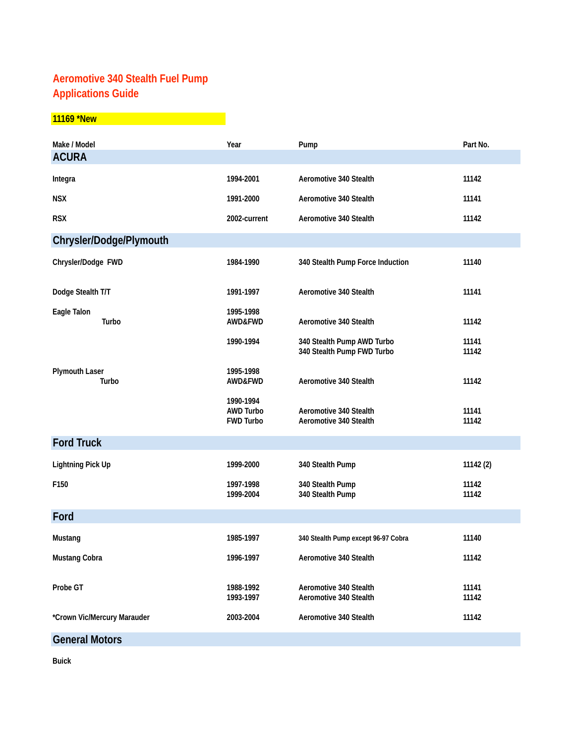## **Aeromotive 340 Stealth Fuel Pump Applications Guide**

## **11169 \*New**

| Make / Model                   | Year                                              | Pump                                                     | Part No.       |
|--------------------------------|---------------------------------------------------|----------------------------------------------------------|----------------|
| <b>ACURA</b>                   |                                                   |                                                          |                |
| Integra                        | 1994-2001                                         | Aeromotive 340 Stealth                                   | 11142          |
| <b>NSX</b>                     | 1991-2000                                         | Aeromotive 340 Stealth                                   | 11141          |
| <b>RSX</b>                     | 2002-current                                      | Aeromotive 340 Stealth                                   | 11142          |
| Chrysler/Dodge/Plymouth        |                                                   |                                                          |                |
| Chrysler/Dodge FWD             | 1984-1990                                         | 340 Stealth Pump Force Induction                         | 11140          |
| Dodge Stealth T/T              | 1991-1997                                         | Aeromotive 340 Stealth                                   | 11141          |
| Eagle Talon<br>Turbo           | 1995-1998<br>AWD&FWD                              | Aeromotive 340 Stealth                                   | 11142          |
|                                | 1990-1994                                         | 340 Stealth Pump AWD Turbo<br>340 Stealth Pump FWD Turbo | 11141<br>11142 |
| <b>Plymouth Laser</b><br>Turbo | 1995-1998<br>AWD&FWD                              | Aeromotive 340 Stealth                                   | 11142          |
|                                | 1990-1994<br><b>AWD Turbo</b><br><b>FWD Turbo</b> | Aeromotive 340 Stealth<br>Aeromotive 340 Stealth         | 11141<br>11142 |
| <b>Ford Truck</b>              |                                                   |                                                          |                |
| <b>Lightning Pick Up</b>       | 1999-2000                                         | 340 Stealth Pump                                         | 11142 (2)      |
| F150                           | 1997-1998<br>1999-2004                            | 340 Stealth Pump<br>340 Stealth Pump                     | 11142<br>11142 |
| Ford                           |                                                   |                                                          |                |
| Mustang                        | 1985-1997                                         | 340 Stealth Pump except 96-97 Cobra                      | 11140          |
| Mustang Cobra                  | 1996-1997                                         | Aeromotive 340 Stealth                                   | 11142          |
| Probe GT                       | 1988-1992<br>1993-1997                            | Aeromotive 340 Stealth<br>Aeromotive 340 Stealth         | 11141<br>11142 |
| *Crown Vic/Mercury Marauder    | 2003-2004                                         | Aeromotive 340 Stealth                                   | 11142          |
| <b>General Motors</b>          |                                                   |                                                          |                |

**Buick**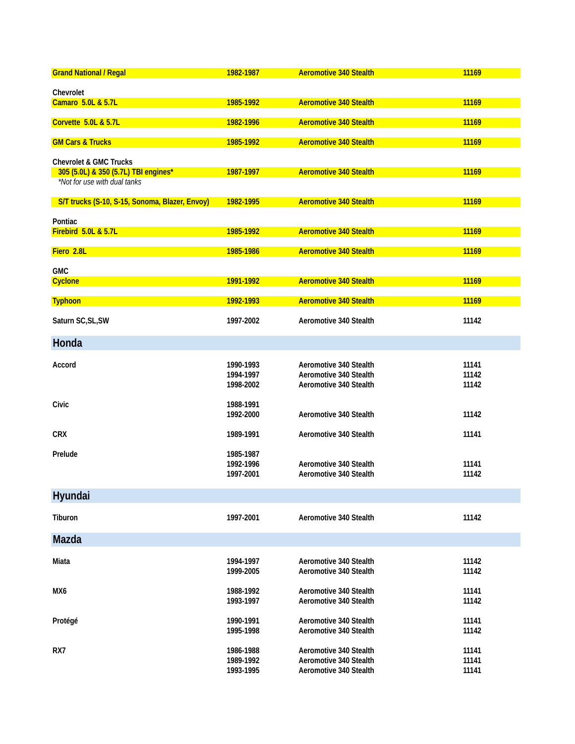| <b>Grand National / Regal</b>                  | 1982-1987              | <b>Aeromotive 340 Stealth</b> | 11169 |
|------------------------------------------------|------------------------|-------------------------------|-------|
|                                                |                        |                               |       |
| Chevrolet                                      |                        |                               |       |
| Camaro 5.0L & 5.7L                             | 1985-1992              | <b>Aeromotive 340 Stealth</b> | 11169 |
|                                                |                        |                               |       |
| Corvette 5.0L & 5.7L                           | 1982-1996              | <b>Aeromotive 340 Stealth</b> | 11169 |
|                                                |                        |                               |       |
| <b>GM Cars &amp; Trucks</b>                    | 1985-1992              | <b>Aeromotive 340 Stealth</b> | 11169 |
|                                                |                        |                               |       |
| <b>Chevrolet &amp; GMC Trucks</b>              |                        |                               |       |
| 305 (5.0L) & 350 (5.7L) TBI engines*           | 1987-1997              | <b>Aeromotive 340 Stealth</b> | 11169 |
| *Not for use with dual tanks                   |                        |                               |       |
| S/T trucks (S-10, S-15, Sonoma, Blazer, Envoy) | 1982-1995              | <b>Aeromotive 340 Stealth</b> | 11169 |
|                                                |                        |                               |       |
| Pontiac                                        |                        |                               |       |
| Firebird 5.0L & 5.7L                           | 1985-1992              | <b>Aeromotive 340 Stealth</b> | 11169 |
|                                                |                        |                               |       |
| Fiero 2.8L                                     | 1985-1986              | <b>Aeromotive 340 Stealth</b> | 11169 |
|                                                |                        |                               |       |
| <b>GMC</b>                                     |                        |                               |       |
| <b>Cyclone</b>                                 | 1991-1992              | <b>Aeromotive 340 Stealth</b> | 11169 |
|                                                |                        |                               |       |
| <b>Typhoon</b>                                 | 1992-1993              | <b>Aeromotive 340 Stealth</b> | 11169 |
|                                                |                        |                               |       |
| Saturn SC, SL, SW                              | 1997-2002              | Aeromotive 340 Stealth        | 11142 |
|                                                |                        |                               |       |
| Honda                                          |                        |                               |       |
|                                                |                        |                               |       |
| Accord                                         | 1990-1993              | Aeromotive 340 Stealth        | 11141 |
|                                                | 1994-1997              | Aeromotive 340 Stealth        | 11142 |
|                                                | 1998-2002              | Aeromotive 340 Stealth        | 11142 |
| Civic                                          | 1988-1991              |                               |       |
|                                                | 1992-2000              | Aeromotive 340 Stealth        | 11142 |
|                                                |                        |                               |       |
| <b>CRX</b>                                     | 1989-1991              | Aeromotive 340 Stealth        | 11141 |
|                                                |                        |                               |       |
| Prelude                                        | 1985-1987              |                               |       |
|                                                | 1992-1996              | Aeromotive 340 Stealth        | 11141 |
|                                                | 1997-2001              | Aeromotive 340 Stealth        | 11142 |
|                                                |                        |                               |       |
| Hyundai                                        |                        |                               |       |
|                                                |                        |                               |       |
| Tiburon                                        | 1997-2001              | Aeromotive 340 Stealth        | 11142 |
|                                                |                        |                               |       |
| Mazda                                          |                        |                               |       |
|                                                |                        |                               |       |
| Miata                                          | 1994-1997              | Aeromotive 340 Stealth        | 11142 |
|                                                | 1999-2005              | Aeromotive 340 Stealth        | 11142 |
|                                                |                        |                               |       |
| MX6                                            | 1988-1992              | Aeromotive 340 Stealth        | 11141 |
|                                                | 1993-1997              | Aeromotive 340 Stealth        | 11142 |
|                                                |                        |                               |       |
| Protégé                                        | 1990-1991              | Aeromotive 340 Stealth        | 11141 |
|                                                | 1995-1998              | Aeromotive 340 Stealth        | 11142 |
|                                                |                        |                               |       |
| RX7                                            | 1986-1988<br>1989-1992 | Aeromotive 340 Stealth        | 11141 |
|                                                | 1993-1995              | Aeromotive 340 Stealth        | 11141 |
|                                                |                        | Aeromotive 340 Stealth        | 11141 |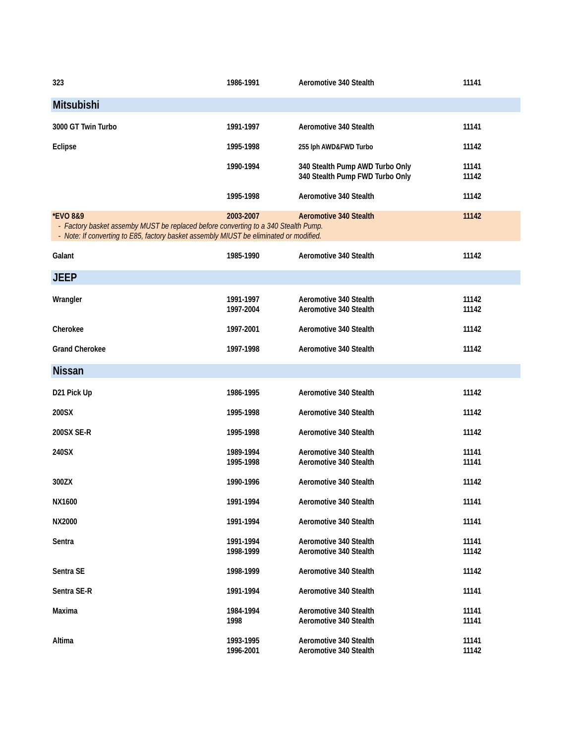| 323                                                                                                                                                                                                 | 1986-1991              | Aeromotive 340 Stealth                                             | 11141          |
|-----------------------------------------------------------------------------------------------------------------------------------------------------------------------------------------------------|------------------------|--------------------------------------------------------------------|----------------|
| Mitsubishi                                                                                                                                                                                          |                        |                                                                    |                |
| 3000 GT Twin Turbo                                                                                                                                                                                  | 1991-1997              | Aeromotive 340 Stealth                                             | 11141          |
| <b>Eclipse</b>                                                                                                                                                                                      | 1995-1998              | 255 lph AWD&FWD Turbo                                              | 11142          |
|                                                                                                                                                                                                     | 1990-1994              | 340 Stealth Pump AWD Turbo Only<br>340 Stealth Pump FWD Turbo Only | 11141<br>11142 |
|                                                                                                                                                                                                     | 1995-1998              | Aeromotive 340 Stealth                                             | 11142          |
| <b>*EVO 8&amp;9</b><br>- Factory basket assemby MUST be replaced before converting to a 340 Stealth Pump.<br>- Note: If converting to E85, factory basket assembly MIUST be eliminated or modified. | 2003-2007              | <b>Aeromotive 340 Stealth</b>                                      | 11142          |
| Galant                                                                                                                                                                                              | 1985-1990              | Aeromotive 340 Stealth                                             | 11142          |
| <b>JEEP</b>                                                                                                                                                                                         |                        |                                                                    |                |
| Wrangler                                                                                                                                                                                            | 1991-1997<br>1997-2004 | Aeromotive 340 Stealth<br>Aeromotive 340 Stealth                   | 11142<br>11142 |
| Cherokee                                                                                                                                                                                            | 1997-2001              | Aeromotive 340 Stealth                                             | 11142          |
| <b>Grand Cherokee</b>                                                                                                                                                                               | 1997-1998              | Aeromotive 340 Stealth                                             | 11142          |
| <b>Nissan</b>                                                                                                                                                                                       |                        |                                                                    |                |
| D21 Pick Up                                                                                                                                                                                         | 1986-1995              | Aeromotive 340 Stealth                                             | 11142          |
| 200SX                                                                                                                                                                                               | 1995-1998              | Aeromotive 340 Stealth                                             | 11142          |
| 200SX SE-R                                                                                                                                                                                          | 1995-1998              | Aeromotive 340 Stealth                                             | 11142          |
| 240SX                                                                                                                                                                                               | 1989-1994<br>1995-1998 | Aeromotive 340 Stealth<br>Aeromotive 340 Stealth                   | 11141<br>11141 |
| 300ZX                                                                                                                                                                                               | 1990-1996              | Aeromotive 340 Stealth                                             | 11142          |
| NX1600                                                                                                                                                                                              | 1991-1994              | Aeromotive 340 Stealth                                             | 11141          |
| NX2000                                                                                                                                                                                              | 1991-1994              | Aeromotive 340 Stealth                                             | 11141          |
| Sentra                                                                                                                                                                                              | 1991-1994<br>1998-1999 | Aeromotive 340 Stealth<br>Aeromotive 340 Stealth                   | 11141<br>11142 |
| Sentra SE                                                                                                                                                                                           | 1998-1999              | Aeromotive 340 Stealth                                             | 11142          |
| Sentra SE-R                                                                                                                                                                                         | 1991-1994              | Aeromotive 340 Stealth                                             | 11141          |
| Maxima                                                                                                                                                                                              | 1984-1994<br>1998      | Aeromotive 340 Stealth<br>Aeromotive 340 Stealth                   | 11141<br>11141 |
| Altima                                                                                                                                                                                              | 1993-1995<br>1996-2001 | Aeromotive 340 Stealth<br>Aeromotive 340 Stealth                   | 11141<br>11142 |